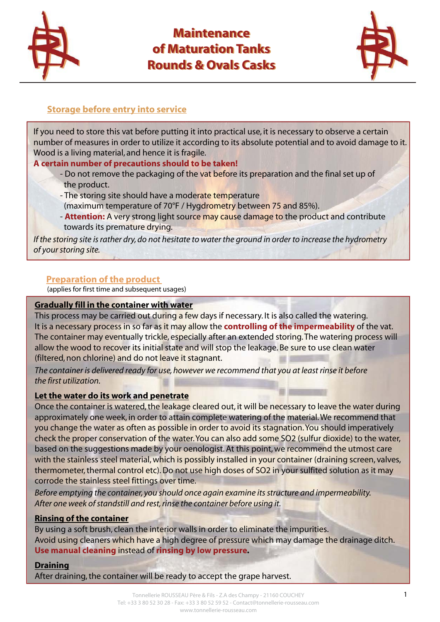

# **Maintenance Maintenance of Maturation Tanks of Maturation Tanks Rounds & Ovals Casks Rounds & Ovals Casks**



## **Storage before entry into service**

If you need to store this vat before putting it into practical use, it is necessary to observe a certain number of measures in order to utilize it according to its absolute potential and to avoid damage to it. Wood is a living material, and hence it is fragile.

## **A certain number of precautions should to be taken!**

- Do not remove the packaging of the vat before its preparation and the final set up of the product.
- The storing site should have a moderate temperature
- (maximum temperature of 70°F / Hygdrometry between 75 and 85%).
- **Attention:** A very strong light source may cause damage to the product and contribute towards its premature drying.

*If the storing site is rather dry, do not hesitate to water the ground in order to increase the hydrometry of your storing site.*

## **Preparation of the product**

(applies for first time and subsequent usages)

#### **Gradually fill in the container with water**

This process may be carried out during a few days if necessary. It is also called the watering. It is a necessary process in so far as it may allow the **controlling of the impermeability** of the vat. The container may eventually trickle, especially after an extended storing. The watering process will allow the wood to recover its initial state and will stop the leakage. Be sure to use clean water (filtered, non chlorine) and do not leave it stagnant.

*The container is delivered ready for use, however we recommend that you at least rinse it before the first utilization.* 

#### **Let the water do its work and penetrate**

Once the container is watered, the leakage cleared out, it will be necessary to leave the water during approximately one week, in order to attain complete watering of the material. We recommend that you change the water as often as possible in order to avoid its stagnation. You should imperatively check the proper conservation of the water. You can also add some SO2 (sulfur dioxide) to the water, based on the suggestions made by your oenologist. At this point, we recommend the utmost care with the stainless steel material, which is possibly installed in your container (draining screen, valves, thermometer, thermal control etc). Do not use high doses of SO2 in your sulfited solution as it may corrode the stainless steel fittings over time.

*Before emptying the container, you should once again examine its structure and impermeability. After one week of standstill and rest, rinse the container before using it.* 

## **Rinsing of the container**

By using a soft brush, clean the interior walls in order to eliminate the impurities. Avoid using cleaners which have a high degree of pressure which may damage the drainage ditch. **Use manual cleaning** instead of **rinsing by low pressure.** 

#### **Draining**

After draining, the container will be ready to accept the grape harvest.